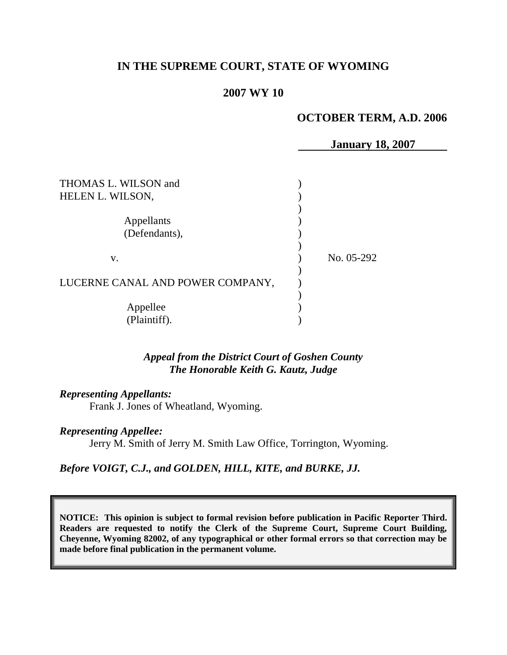# **IN THE SUPREME COURT, STATE OF WYOMING**

#### **2007 WY 10**

#### **OCTOBER TERM, A.D. 2006**

**January 18, 2007**

| THOMAS L. WILSON and<br>HELEN L. WILSON, |            |
|------------------------------------------|------------|
| Appellants<br>(Defendants),              |            |
| V.                                       | No. 05-292 |
| LUCERNE CANAL AND POWER COMPANY,         |            |
| Appellee<br>(Plaintiff).                 |            |

*Appeal from the District Court of Goshen County The Honorable Keith G. Kautz, Judge*

*Representing Appellants:*

Frank J. Jones of Wheatland, Wyoming.

*Representing Appellee:*

Jerry M. Smith of Jerry M. Smith Law Office, Torrington, Wyoming.

*Before VOIGT, C.J., and GOLDEN, HILL, KITE, and BURKE, JJ.*

**NOTICE: This opinion is subject to formal revision before publication in Pacific Reporter Third. Readers are requested to notify the Clerk of the Supreme Court, Supreme Court Building, Cheyenne, Wyoming 82002, of any typographical or other formal errors so that correction may be made before final publication in the permanent volume.**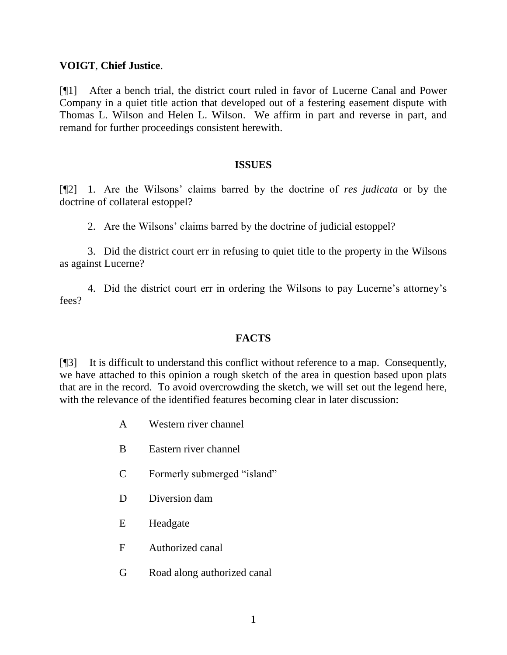### **VOIGT**, **Chief Justice**.

[¶1] After a bench trial, the district court ruled in favor of Lucerne Canal and Power Company in a quiet title action that developed out of a festering easement dispute with Thomas L. Wilson and Helen L. Wilson. We affirm in part and reverse in part, and remand for further proceedings consistent herewith.

#### **ISSUES**

[¶2] 1. Are the Wilsons' claims barred by the doctrine of *res judicata* or by the doctrine of collateral estoppel?

2. Are the Wilsons' claims barred by the doctrine of judicial estoppel?

3. Did the district court err in refusing to quiet title to the property in the Wilsons as against Lucerne?

4. Did the district court err in ordering the Wilsons to pay Lucerne's attorney's fees?

# **FACTS**

[¶3] It is difficult to understand this conflict without reference to a map. Consequently, we have attached to this opinion a rough sketch of the area in question based upon plats that are in the record. To avoid overcrowding the sketch, we will set out the legend here, with the relevance of the identified features becoming clear in later discussion:

- A Western river channel
- B Eastern river channel
- C Formerly submerged "island"
- D Diversion dam
- E Headgate
- F Authorized canal
- G Road along authorized canal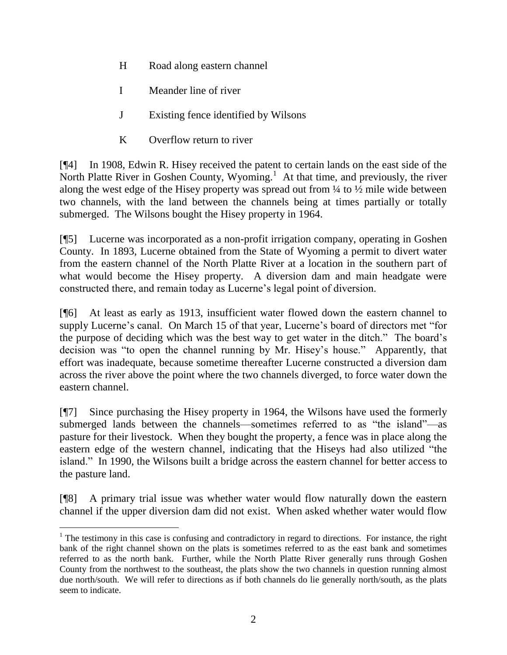- H Road along eastern channel
- I Meander line of river
- J Existing fence identified by Wilsons
- K Overflow return to river

[¶4] In 1908, Edwin R. Hisey received the patent to certain lands on the east side of the North Platte River in Goshen County, Wyoming.<sup>1</sup> At that time, and previously, the river along the west edge of the Hisey property was spread out from  $\frac{1}{4}$  to  $\frac{1}{2}$  mile wide between two channels, with the land between the channels being at times partially or totally submerged. The Wilsons bought the Hisey property in 1964.

[¶5] Lucerne was incorporated as a non-profit irrigation company, operating in Goshen County. In 1893, Lucerne obtained from the State of Wyoming a permit to divert water from the eastern channel of the North Platte River at a location in the southern part of what would become the Hisey property. A diversion dam and main headgate were constructed there, and remain today as Lucerne's legal point of diversion.

[¶6] At least as early as 1913, insufficient water flowed down the eastern channel to supply Lucerne's canal. On March 15 of that year, Lucerne's board of directors met "for the purpose of deciding which was the best way to get water in the ditch." The board's decision was "to open the channel running by Mr. Hisey's house." Apparently, that effort was inadequate, because sometime thereafter Lucerne constructed a diversion dam across the river above the point where the two channels diverged, to force water down the eastern channel.

[¶7] Since purchasing the Hisey property in 1964, the Wilsons have used the formerly submerged lands between the channels—sometimes referred to as "the island"—as pasture for their livestock. When they bought the property, a fence was in place along the eastern edge of the western channel, indicating that the Hiseys had also utilized "the island." In 1990, the Wilsons built a bridge across the eastern channel for better access to the pasture land.

[¶8] A primary trial issue was whether water would flow naturally down the eastern channel if the upper diversion dam did not exist. When asked whether water would flow

 <sup>1</sup> The testimony in this case is confusing and contradictory in regard to directions. For instance, the right bank of the right channel shown on the plats is sometimes referred to as the east bank and sometimes referred to as the north bank. Further, while the North Platte River generally runs through Goshen County from the northwest to the southeast, the plats show the two channels in question running almost due north/south. We will refer to directions as if both channels do lie generally north/south, as the plats seem to indicate.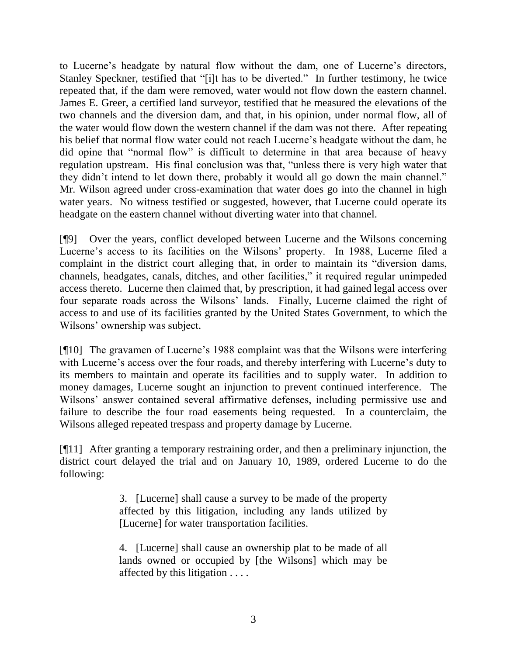to Lucerne's headgate by natural flow without the dam, one of Lucerne's directors, Stanley Speckner, testified that "[i]t has to be diverted." In further testimony, he twice repeated that, if the dam were removed, water would not flow down the eastern channel. James E. Greer, a certified land surveyor, testified that he measured the elevations of the two channels and the diversion dam, and that, in his opinion, under normal flow, all of the water would flow down the western channel if the dam was not there. After repeating his belief that normal flow water could not reach Lucerne's headgate without the dam, he did opine that "normal flow" is difficult to determine in that area because of heavy regulation upstream. His final conclusion was that, "unless there is very high water that they didn't intend to let down there, probably it would all go down the main channel." Mr. Wilson agreed under cross-examination that water does go into the channel in high water years. No witness testified or suggested, however, that Lucerne could operate its headgate on the eastern channel without diverting water into that channel.

[¶9] Over the years, conflict developed between Lucerne and the Wilsons concerning Lucerne's access to its facilities on the Wilsons' property. In 1988, Lucerne filed a complaint in the district court alleging that, in order to maintain its "diversion dams, channels, headgates, canals, ditches, and other facilities," it required regular unimpeded access thereto. Lucerne then claimed that, by prescription, it had gained legal access over four separate roads across the Wilsons' lands. Finally, Lucerne claimed the right of access to and use of its facilities granted by the United States Government, to which the Wilsons' ownership was subject.

[¶10] The gravamen of Lucerne's 1988 complaint was that the Wilsons were interfering with Lucerne's access over the four roads, and thereby interfering with Lucerne's duty to its members to maintain and operate its facilities and to supply water. In addition to money damages, Lucerne sought an injunction to prevent continued interference. The Wilsons' answer contained several affirmative defenses, including permissive use and failure to describe the four road easements being requested. In a counterclaim, the Wilsons alleged repeated trespass and property damage by Lucerne.

[¶11] After granting a temporary restraining order, and then a preliminary injunction, the district court delayed the trial and on January 10, 1989, ordered Lucerne to do the following:

> 3. [Lucerne] shall cause a survey to be made of the property affected by this litigation, including any lands utilized by [Lucerne] for water transportation facilities.

> 4. [Lucerne] shall cause an ownership plat to be made of all lands owned or occupied by [the Wilsons] which may be affected by this litigation . . . .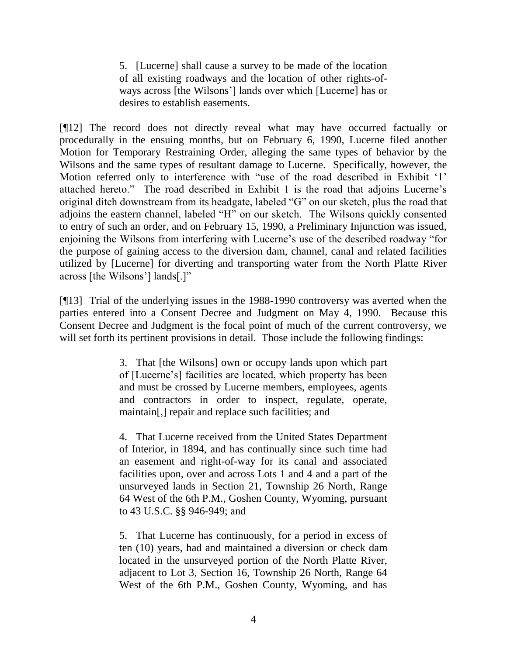5. [Lucerne] shall cause a survey to be made of the location of all existing roadways and the location of other rights-ofways across [the Wilsons'] lands over which [Lucerne] has or desires to establish easements.

[¶12] The record does not directly reveal what may have occurred factually or procedurally in the ensuing months, but on February 6, 1990, Lucerne filed another Motion for Temporary Restraining Order, alleging the same types of behavior by the Wilsons and the same types of resultant damage to Lucerne. Specifically, however, the Motion referred only to interference with "use of the road described in Exhibit '1' attached hereto.‖ The road described in Exhibit 1 is the road that adjoins Lucerne's original ditch downstream from its headgate, labeled " $G$ " on our sketch, plus the road that adjoins the eastern channel, labeled "H" on our sketch. The Wilsons quickly consented to entry of such an order, and on February 15, 1990, a Preliminary Injunction was issued, enjoining the Wilsons from interfering with Lucerne's use of the described roadway "for the purpose of gaining access to the diversion dam, channel, canal and related facilities utilized by [Lucerne] for diverting and transporting water from the North Platte River across [the Wilsons'] lands[.]"

[¶13] Trial of the underlying issues in the 1988-1990 controversy was averted when the parties entered into a Consent Decree and Judgment on May 4, 1990. Because this Consent Decree and Judgment is the focal point of much of the current controversy, we will set forth its pertinent provisions in detail. Those include the following findings:

> 3. That [the Wilsons] own or occupy lands upon which part of [Lucerne's] facilities are located, which property has been and must be crossed by Lucerne members, employees, agents and contractors in order to inspect, regulate, operate, maintain[,] repair and replace such facilities; and

> 4. That Lucerne received from the United States Department of Interior, in 1894, and has continually since such time had an easement and right-of-way for its canal and associated facilities upon, over and across Lots 1 and 4 and a part of the unsurveyed lands in Section 21, Township 26 North, Range 64 West of the 6th P.M., Goshen County, Wyoming, pursuant to 43 U.S.C. §§ 946-949; and

> 5. That Lucerne has continuously, for a period in excess of ten (10) years, had and maintained a diversion or check dam located in the unsurveyed portion of the North Platte River, adjacent to Lot 3, Section 16, Township 26 North, Range 64 West of the 6th P.M., Goshen County, Wyoming, and has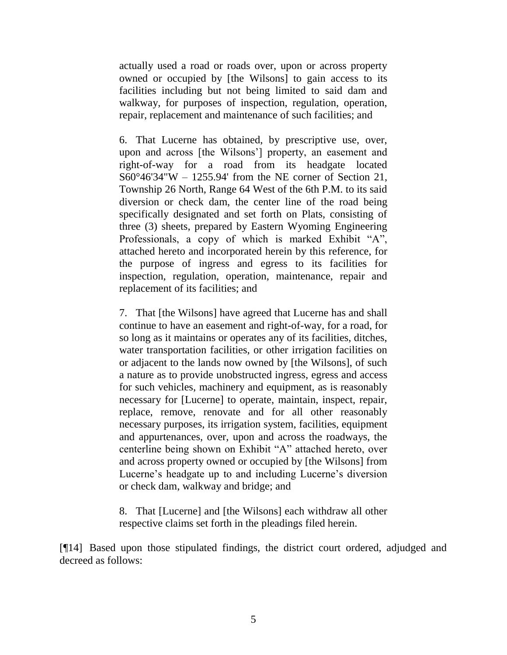actually used a road or roads over, upon or across property owned or occupied by [the Wilsons] to gain access to its facilities including but not being limited to said dam and walkway, for purposes of inspection, regulation, operation, repair, replacement and maintenance of such facilities; and

6. That Lucerne has obtained, by prescriptive use, over, upon and across [the Wilsons'] property, an easement and right-of-way for a road from its headgate located S60°46'34"W – 1255.94' from the NE corner of Section 21, Township 26 North, Range 64 West of the 6th P.M. to its said diversion or check dam, the center line of the road being specifically designated and set forth on Plats, consisting of three (3) sheets, prepared by Eastern Wyoming Engineering Professionals, a copy of which is marked Exhibit "A", attached hereto and incorporated herein by this reference, for the purpose of ingress and egress to its facilities for inspection, regulation, operation, maintenance, repair and replacement of its facilities; and

7. That [the Wilsons] have agreed that Lucerne has and shall continue to have an easement and right-of-way, for a road, for so long as it maintains or operates any of its facilities, ditches, water transportation facilities, or other irrigation facilities on or adjacent to the lands now owned by [the Wilsons], of such a nature as to provide unobstructed ingress, egress and access for such vehicles, machinery and equipment, as is reasonably necessary for [Lucerne] to operate, maintain, inspect, repair, replace, remove, renovate and for all other reasonably necessary purposes, its irrigation system, facilities, equipment and appurtenances, over, upon and across the roadways, the centerline being shown on Exhibit "A" attached hereto, over and across property owned or occupied by [the Wilsons] from Lucerne's headgate up to and including Lucerne's diversion or check dam, walkway and bridge; and

8. That [Lucerne] and [the Wilsons] each withdraw all other respective claims set forth in the pleadings filed herein.

[¶14] Based upon those stipulated findings, the district court ordered, adjudged and decreed as follows: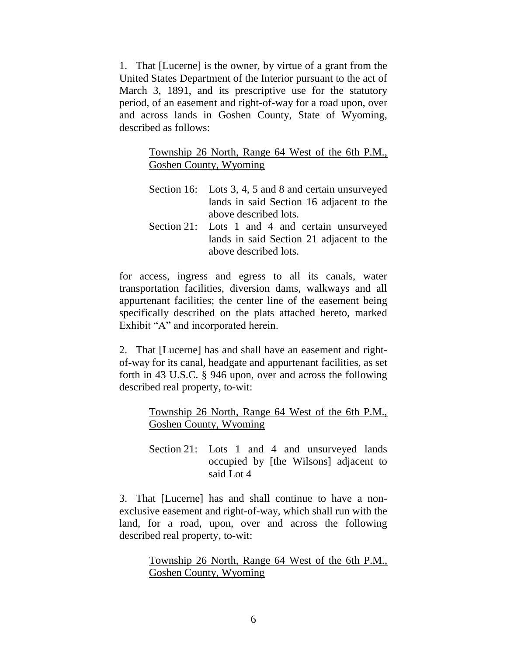1. That [Lucerne] is the owner, by virtue of a grant from the United States Department of the Interior pursuant to the act of March 3, 1891, and its prescriptive use for the statutory period, of an easement and right-of-way for a road upon, over and across lands in Goshen County, State of Wyoming, described as follows:

> Township 26 North, Range 64 West of the 6th P.M., Goshen County, Wyoming

- Section 16: Lots 3, 4, 5 and 8 and certain unsurveyed lands in said Section 16 adjacent to the above described lots.
- Section 21: Lots 1 and 4 and certain unsurveyed lands in said Section 21 adjacent to the above described lots.

for access, ingress and egress to all its canals, water transportation facilities, diversion dams, walkways and all appurtenant facilities; the center line of the easement being specifically described on the plats attached hereto, marked Exhibit "A" and incorporated herein.

2. That [Lucerne] has and shall have an easement and rightof-way for its canal, headgate and appurtenant facilities, as set forth in 43 U.S.C. § 946 upon, over and across the following described real property, to-wit:

> Township 26 North, Range 64 West of the 6th P.M., Goshen County, Wyoming

> Section 21: Lots 1 and 4 and unsurveyed lands occupied by [the Wilsons] adjacent to said Lot 4

3. That [Lucerne] has and shall continue to have a nonexclusive easement and right-of-way, which shall run with the land, for a road, upon, over and across the following described real property, to-wit:

> Township 26 North, Range 64 West of the 6th P.M., Goshen County, Wyoming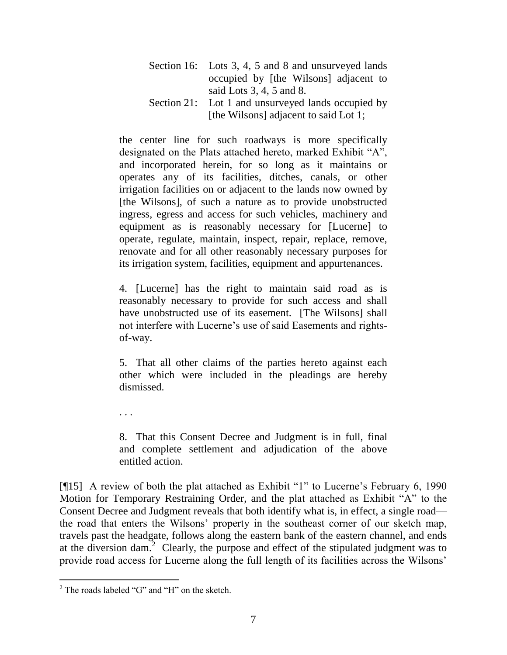| Section 16: Lots 3, 4, 5 and 8 and unsurveyed lands |  |
|-----------------------------------------------------|--|
| occupied by [the Wilsons] adjacent to               |  |
| said Lots $3, 4, 5$ and $8$ .                       |  |
| Section 21: Lot 1 and unsurveyed lands occupied by  |  |
| [the Wilsons] adjacent to said Lot 1;               |  |

the center line for such roadways is more specifically designated on the Plats attached hereto, marked Exhibit "A", and incorporated herein, for so long as it maintains or operates any of its facilities, ditches, canals, or other irrigation facilities on or adjacent to the lands now owned by [the Wilsons], of such a nature as to provide unobstructed ingress, egress and access for such vehicles, machinery and equipment as is reasonably necessary for [Lucerne] to operate, regulate, maintain, inspect, repair, replace, remove, renovate and for all other reasonably necessary purposes for its irrigation system, facilities, equipment and appurtenances.

4. [Lucerne] has the right to maintain said road as is reasonably necessary to provide for such access and shall have unobstructed use of its easement. [The Wilsons] shall not interfere with Lucerne's use of said Easements and rightsof-way.

5. That all other claims of the parties hereto against each other which were included in the pleadings are hereby dismissed.

. . .

8. That this Consent Decree and Judgment is in full, final and complete settlement and adjudication of the above entitled action.

[ $\llbracket$ 15] A review of both the plat attached as Exhibit "1" to Lucerne's February 6, 1990 Motion for Temporary Restraining Order, and the plat attached as Exhibit "A" to the Consent Decree and Judgment reveals that both identify what is, in effect, a single road the road that enters the Wilsons' property in the southeast corner of our sketch map, travels past the headgate, follows along the eastern bank of the eastern channel, and ends at the diversion dam.<sup>2</sup> Clearly, the purpose and effect of the stipulated judgment was to provide road access for Lucerne along the full length of its facilities across the Wilsons'

 $\overline{a}$ 

 $2$  The roads labeled "G" and "H" on the sketch.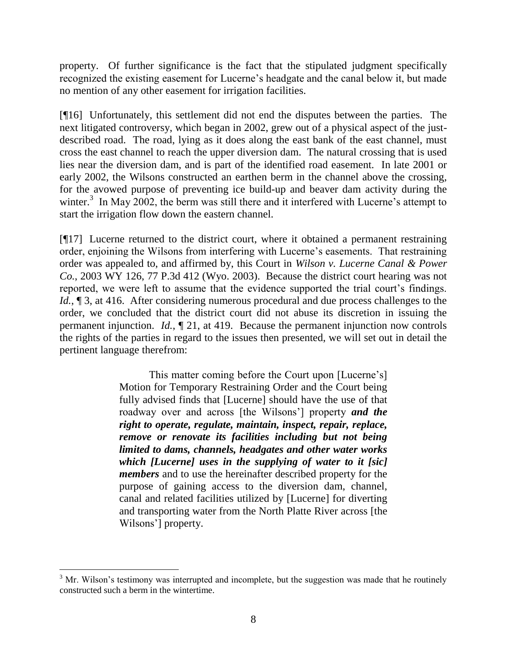property. Of further significance is the fact that the stipulated judgment specifically recognized the existing easement for Lucerne's headgate and the canal below it, but made no mention of any other easement for irrigation facilities.

[¶16] Unfortunately, this settlement did not end the disputes between the parties. The next litigated controversy, which began in 2002, grew out of a physical aspect of the justdescribed road. The road, lying as it does along the east bank of the east channel, must cross the east channel to reach the upper diversion dam. The natural crossing that is used lies near the diversion dam, and is part of the identified road easement. In late 2001 or early 2002, the Wilsons constructed an earthen berm in the channel above the crossing, for the avowed purpose of preventing ice build-up and beaver dam activity during the winter.<sup>3</sup> In May 2002, the berm was still there and it interfered with Lucerne's attempt to start the irrigation flow down the eastern channel.

[¶17] Lucerne returned to the district court, where it obtained a permanent restraining order, enjoining the Wilsons from interfering with Lucerne's easements. That restraining order was appealed to, and affirmed by, this Court in *Wilson v. Lucerne Canal & Power Co.*, 2003 WY 126, 77 P.3d 412 (Wyo. 2003). Because the district court hearing was not reported, we were left to assume that the evidence supported the trial court's findings. *Id.*, 13, at 416. After considering numerous procedural and due process challenges to the order, we concluded that the district court did not abuse its discretion in issuing the permanent injunction. *Id.*, ¶ 21, at 419. Because the permanent injunction now controls the rights of the parties in regard to the issues then presented, we will set out in detail the pertinent language therefrom:

> This matter coming before the Court upon [Lucerne's] Motion for Temporary Restraining Order and the Court being fully advised finds that [Lucerne] should have the use of that roadway over and across [the Wilsons'] property *and the right to operate, regulate, maintain, inspect, repair, replace, remove or renovate its facilities including but not being limited to dams, channels, headgates and other water works which [Lucerne] uses in the supplying of water to it [sic] members* and to use the hereinafter described property for the purpose of gaining access to the diversion dam, channel, canal and related facilities utilized by [Lucerne] for diverting and transporting water from the North Platte River across [the Wilsons'] property.

  $3$  Mr. Wilson's testimony was interrupted and incomplete, but the suggestion was made that he routinely constructed such a berm in the wintertime.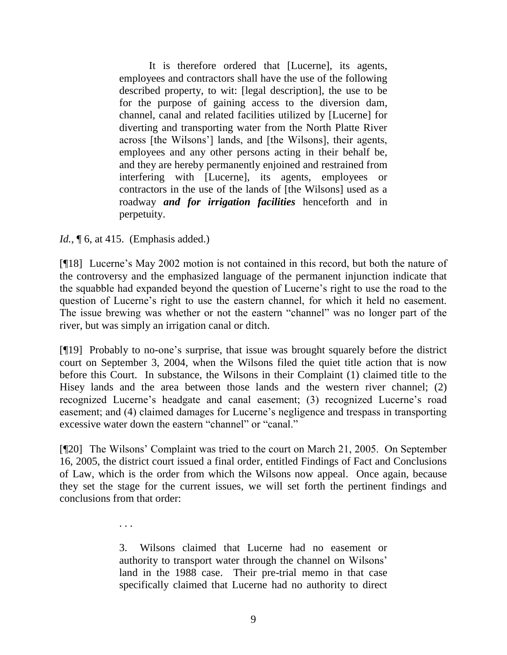It is therefore ordered that [Lucerne], its agents, employees and contractors shall have the use of the following described property, to wit: [legal description], the use to be for the purpose of gaining access to the diversion dam, channel, canal and related facilities utilized by [Lucerne] for diverting and transporting water from the North Platte River across [the Wilsons'] lands, and [the Wilsons], their agents, employees and any other persons acting in their behalf be, and they are hereby permanently enjoined and restrained from interfering with [Lucerne], its agents, employees or contractors in the use of the lands of [the Wilsons] used as a roadway *and for irrigation facilities* henceforth and in perpetuity.

*Id.*, **[6, at 415.** (Emphasis added.)

. . .

[¶18] Lucerne's May 2002 motion is not contained in this record, but both the nature of the controversy and the emphasized language of the permanent injunction indicate that the squabble had expanded beyond the question of Lucerne's right to use the road to the question of Lucerne's right to use the eastern channel, for which it held no easement. The issue brewing was whether or not the eastern "channel" was no longer part of the river, but was simply an irrigation canal or ditch.

[¶19] Probably to no-one's surprise, that issue was brought squarely before the district court on September 3, 2004, when the Wilsons filed the quiet title action that is now before this Court. In substance, the Wilsons in their Complaint (1) claimed title to the Hisey lands and the area between those lands and the western river channel; (2) recognized Lucerne's headgate and canal easement; (3) recognized Lucerne's road easement; and (4) claimed damages for Lucerne's negligence and trespass in transporting excessive water down the eastern "channel" or "canal."

[¶20] The Wilsons' Complaint was tried to the court on March 21, 2005. On September 16, 2005, the district court issued a final order, entitled Findings of Fact and Conclusions of Law, which is the order from which the Wilsons now appeal. Once again, because they set the stage for the current issues, we will set forth the pertinent findings and conclusions from that order:

> 3. Wilsons claimed that Lucerne had no easement or authority to transport water through the channel on Wilsons' land in the 1988 case. Their pre-trial memo in that case specifically claimed that Lucerne had no authority to direct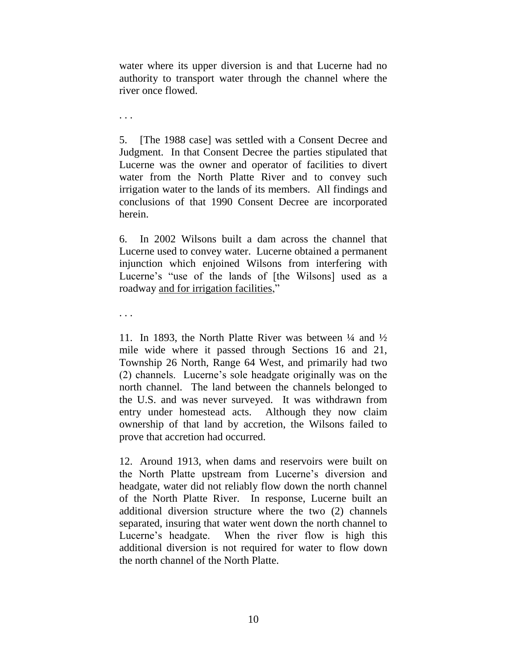water where its upper diversion is and that Lucerne had no authority to transport water through the channel where the river once flowed.

. . .

5. [The 1988 case] was settled with a Consent Decree and Judgment. In that Consent Decree the parties stipulated that Lucerne was the owner and operator of facilities to divert water from the North Platte River and to convey such irrigation water to the lands of its members. All findings and conclusions of that 1990 Consent Decree are incorporated herein.

6. In 2002 Wilsons built a dam across the channel that Lucerne used to convey water. Lucerne obtained a permanent injunction which enjoined Wilsons from interfering with Lucerne's "use of the lands of [the Wilsons] used as a roadway and for irrigation facilities,"

. . .

11. In 1893, the North Platte River was between  $\frac{1}{4}$  and  $\frac{1}{2}$ mile wide where it passed through Sections 16 and 21, Township 26 North, Range 64 West, and primarily had two (2) channels. Lucerne's sole headgate originally was on the north channel. The land between the channels belonged to the U.S. and was never surveyed. It was withdrawn from entry under homestead acts. Although they now claim ownership of that land by accretion, the Wilsons failed to prove that accretion had occurred.

12. Around 1913, when dams and reservoirs were built on the North Platte upstream from Lucerne's diversion and headgate, water did not reliably flow down the north channel of the North Platte River. In response, Lucerne built an additional diversion structure where the two (2) channels separated, insuring that water went down the north channel to Lucerne's headgate. When the river flow is high this additional diversion is not required for water to flow down the north channel of the North Platte.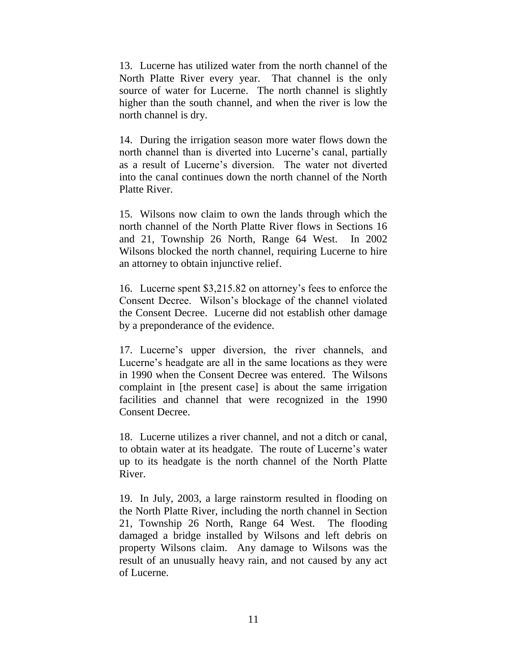13. Lucerne has utilized water from the north channel of the North Platte River every year. That channel is the only source of water for Lucerne. The north channel is slightly higher than the south channel, and when the river is low the north channel is dry.

14. During the irrigation season more water flows down the north channel than is diverted into Lucerne's canal, partially as a result of Lucerne's diversion. The water not diverted into the canal continues down the north channel of the North Platte River.

15. Wilsons now claim to own the lands through which the north channel of the North Platte River flows in Sections 16 and 21, Township 26 North, Range 64 West. In 2002 Wilsons blocked the north channel, requiring Lucerne to hire an attorney to obtain injunctive relief.

16. Lucerne spent \$3,215.82 on attorney's fees to enforce the Consent Decree. Wilson's blockage of the channel violated the Consent Decree. Lucerne did not establish other damage by a preponderance of the evidence.

17. Lucerne's upper diversion, the river channels, and Lucerne's headgate are all in the same locations as they were in 1990 when the Consent Decree was entered. The Wilsons complaint in [the present case] is about the same irrigation facilities and channel that were recognized in the 1990 Consent Decree.

18. Lucerne utilizes a river channel, and not a ditch or canal, to obtain water at its headgate. The route of Lucerne's water up to its headgate is the north channel of the North Platte River.

19. In July, 2003, a large rainstorm resulted in flooding on the North Platte River, including the north channel in Section 21, Township 26 North, Range 64 West. The flooding damaged a bridge installed by Wilsons and left debris on property Wilsons claim. Any damage to Wilsons was the result of an unusually heavy rain, and not caused by any act of Lucerne.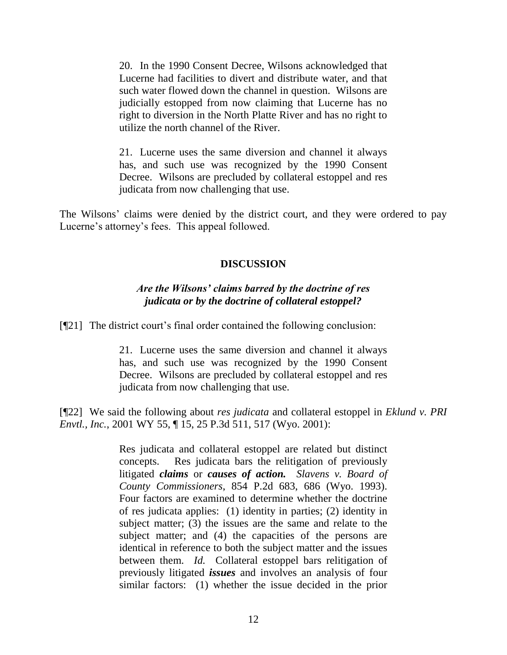20. In the 1990 Consent Decree, Wilsons acknowledged that Lucerne had facilities to divert and distribute water, and that such water flowed down the channel in question. Wilsons are judicially estopped from now claiming that Lucerne has no right to diversion in the North Platte River and has no right to utilize the north channel of the River.

21. Lucerne uses the same diversion and channel it always has, and such use was recognized by the 1990 Consent Decree. Wilsons are precluded by collateral estoppel and res judicata from now challenging that use.

The Wilsons' claims were denied by the district court, and they were ordered to pay Lucerne's attorney's fees. This appeal followed.

# **DISCUSSION**

# *Are the Wilsons' claims barred by the doctrine of res judicata or by the doctrine of collateral estoppel?*

[¶21] The district court's final order contained the following conclusion:

21. Lucerne uses the same diversion and channel it always has, and such use was recognized by the 1990 Consent Decree. Wilsons are precluded by collateral estoppel and res judicata from now challenging that use.

[¶22] We said the following about *res judicata* and collateral estoppel in *Eklund v. PRI Envtl., Inc.*, 2001 WY 55, ¶ 15, 25 P.3d 511, 517 (Wyo. 2001):

> Res judicata and collateral estoppel are related but distinct concepts. Res judicata bars the relitigation of previously litigated *claims* or *causes of action. Slavens v. Board of County Commissioners*, 854 P.2d 683, 686 (Wyo. 1993). Four factors are examined to determine whether the doctrine of res judicata applies: (1) identity in parties; (2) identity in subject matter; (3) the issues are the same and relate to the subject matter; and (4) the capacities of the persons are identical in reference to both the subject matter and the issues between them. *Id.* Collateral estoppel bars relitigation of previously litigated *issues* and involves an analysis of four similar factors: (1) whether the issue decided in the prior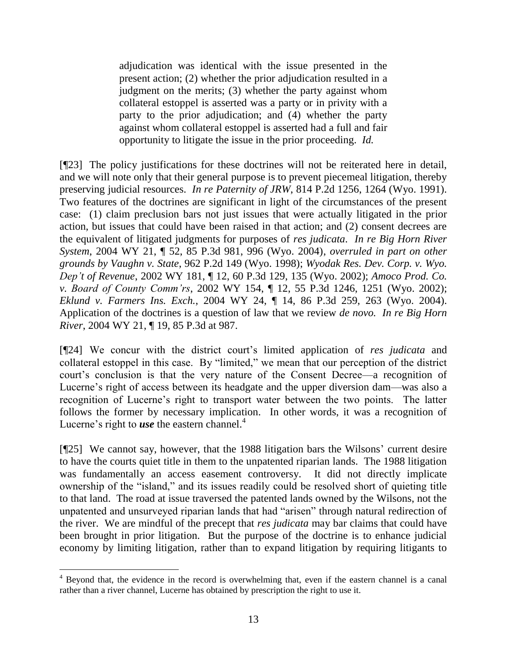adjudication was identical with the issue presented in the present action; (2) whether the prior adjudication resulted in a judgment on the merits; (3) whether the party against whom collateral estoppel is asserted was a party or in privity with a party to the prior adjudication; and (4) whether the party against whom collateral estoppel is asserted had a full and fair opportunity to litigate the issue in the prior proceeding. *Id.*

[¶23] The policy justifications for these doctrines will not be reiterated here in detail, and we will note only that their general purpose is to prevent piecemeal litigation, thereby preserving judicial resources. *In re Paternity of JRW*, 814 P.2d 1256, 1264 (Wyo. 1991). Two features of the doctrines are significant in light of the circumstances of the present case: (1) claim preclusion bars not just issues that were actually litigated in the prior action, but issues that could have been raised in that action; and (2) consent decrees are the equivalent of litigated judgments for purposes of *res judicata*. *In re Big Horn River System*, 2004 WY 21, ¶ 52, 85 P.3d 981, 996 (Wyo. 2004), *overruled in part on other grounds by Vaughn v. State*, 962 P.2d 149 (Wyo. 1998); *Wyodak Res. Dev. Corp. v. Wyo. Dep't of Revenue*, 2002 WY 181, ¶ 12, 60 P.3d 129, 135 (Wyo. 2002); *Amoco Prod. Co. v. Board of County Comm'rs*, 2002 WY 154, ¶ 12, 55 P.3d 1246, 1251 (Wyo. 2002); *Eklund v. Farmers Ins. Exch.*, 2004 WY 24, ¶ 14, 86 P.3d 259, 263 (Wyo. 2004). Application of the doctrines is a question of law that we review *de novo. In re Big Horn River*, 2004 WY 21, ¶ 19, 85 P.3d at 987.

[¶24] We concur with the district court's limited application of *res judicata* and collateral estoppel in this case. By "limited," we mean that our perception of the district court's conclusion is that the very nature of the Consent Decree—a recognition of Lucerne's right of access between its headgate and the upper diversion dam—was also a recognition of Lucerne's right to transport water between the two points. The latter follows the former by necessary implication. In other words, it was a recognition of Lucerne's right to *use* the eastern channel.<sup>4</sup>

[¶25] We cannot say, however, that the 1988 litigation bars the Wilsons' current desire to have the courts quiet title in them to the unpatented riparian lands. The 1988 litigation was fundamentally an access easement controversy. It did not directly implicate ownership of the "island," and its issues readily could be resolved short of quieting title to that land. The road at issue traversed the patented lands owned by the Wilsons, not the unpatented and unsurveyed riparian lands that had "arisen" through natural redirection of the river. We are mindful of the precept that *res judicata* may bar claims that could have been brought in prior litigation. But the purpose of the doctrine is to enhance judicial economy by limiting litigation, rather than to expand litigation by requiring litigants to

<sup>&</sup>lt;sup>4</sup> Beyond that, the evidence in the record is overwhelming that, even if the eastern channel is a canal rather than a river channel, Lucerne has obtained by prescription the right to use it.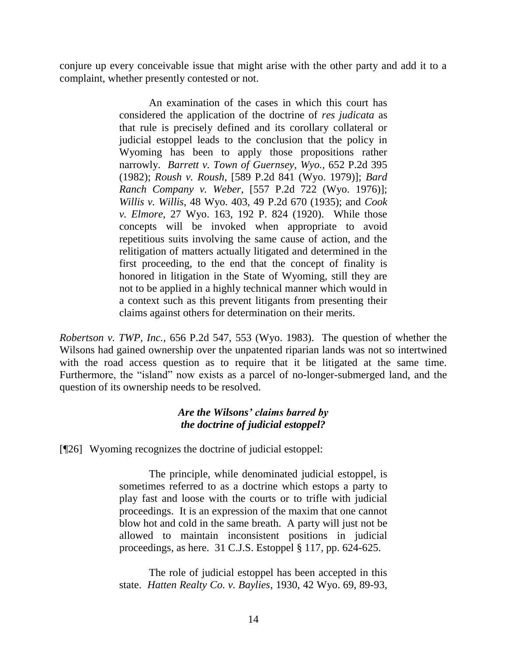conjure up every conceivable issue that might arise with the other party and add it to a complaint, whether presently contested or not.

> An examination of the cases in which this court has considered the application of the doctrine of *res judicata* as that rule is precisely defined and its corollary collateral or judicial estoppel leads to the conclusion that the policy in Wyoming has been to apply those propositions rather narrowly. *Barrett v. Town of Guernsey*, *Wyo.,* 652 P.2d 395 (1982); *Roush v. Roush*, [589 P.2d 841 (Wyo. 1979)]; *Bard Ranch Company v. Weber*, [557 P.2d 722 (Wyo. 1976)]; *Willis v. Willis*, 48 Wyo. 403, 49 P.2d 670 (1935); and *Cook v. Elmore*, 27 Wyo. 163, 192 P. 824 (1920). While those concepts will be invoked when appropriate to avoid repetitious suits involving the same cause of action, and the relitigation of matters actually litigated and determined in the first proceeding, to the end that the concept of finality is honored in litigation in the State of Wyoming, still they are not to be applied in a highly technical manner which would in a context such as this prevent litigants from presenting their claims against others for determination on their merits.

*Robertson v. TWP, Inc.*, 656 P.2d 547, 553 (Wyo. 1983). The question of whether the Wilsons had gained ownership over the unpatented riparian lands was not so intertwined with the road access question as to require that it be litigated at the same time. Furthermore, the "island" now exists as a parcel of no-longer-submerged land, and the question of its ownership needs to be resolved.

# *Are the Wilsons' claims barred by the doctrine of judicial estoppel?*

[¶26] Wyoming recognizes the doctrine of judicial estoppel:

The principle, while denominated judicial estoppel, is sometimes referred to as a doctrine which estops a party to play fast and loose with the courts or to trifle with judicial proceedings. It is an expression of the maxim that one cannot blow hot and cold in the same breath. A party will just not be allowed to maintain inconsistent positions in judicial proceedings, as here. 31 C.J.S. Estoppel § 117, pp. 624-625.

The role of judicial estoppel has been accepted in this state. *Hatten Realty Co. v. Baylies*, 1930, 42 Wyo. 69, 89-93,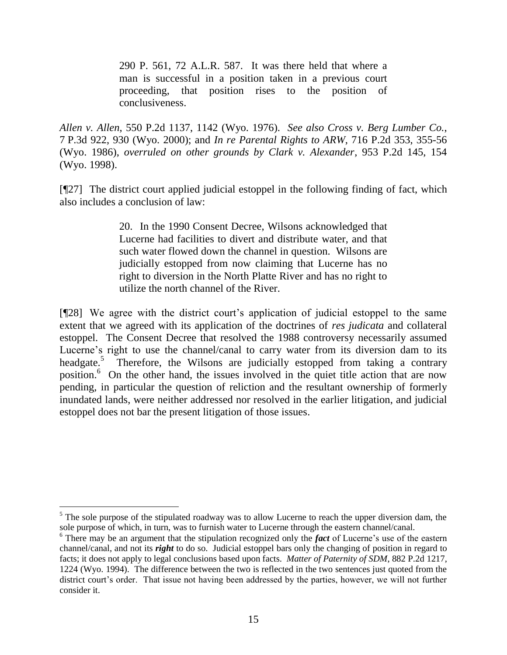290 P. 561, 72 A.L.R. 587. It was there held that where a man is successful in a position taken in a previous court proceeding, that position rises to the position of conclusiveness.

*Allen v. Allen*, 550 P.2d 1137, 1142 (Wyo. 1976). *See also Cross v. Berg Lumber Co.*, 7 P.3d 922, 930 (Wyo. 2000); and *In re Parental Rights to ARW*, 716 P.2d 353, 355-56 (Wyo. 1986), *overruled on other grounds by Clark v. Alexander*, 953 P.2d 145, 154 (Wyo. 1998).

[¶27] The district court applied judicial estoppel in the following finding of fact, which also includes a conclusion of law:

> 20. In the 1990 Consent Decree, Wilsons acknowledged that Lucerne had facilities to divert and distribute water, and that such water flowed down the channel in question. Wilsons are judicially estopped from now claiming that Lucerne has no right to diversion in the North Platte River and has no right to utilize the north channel of the River.

[¶28] We agree with the district court's application of judicial estoppel to the same extent that we agreed with its application of the doctrines of *res judicata* and collateral estoppel. The Consent Decree that resolved the 1988 controversy necessarily assumed Lucerne's right to use the channel/canal to carry water from its diversion dam to its headgate.<sup>5</sup> Therefore, the Wilsons are judicially estopped from taking a contrary position.<sup>6</sup> On the other hand, the issues involved in the quiet title action that are now pending, in particular the question of reliction and the resultant ownership of formerly inundated lands, were neither addressed nor resolved in the earlier litigation, and judicial estoppel does not bar the present litigation of those issues.

 $\overline{a}$ 

<sup>&</sup>lt;sup>5</sup> The sole purpose of the stipulated roadway was to allow Lucerne to reach the upper diversion dam, the sole purpose of which, in turn, was to furnish water to Lucerne through the eastern channel/canal.

<sup>6</sup> There may be an argument that the stipulation recognized only the *fact* of Lucerne's use of the eastern channel/canal, and not its *right* to do so. Judicial estoppel bars only the changing of position in regard to facts; it does not apply to legal conclusions based upon facts. *Matter of Paternity of SDM*, 882 P.2d 1217, 1224 (Wyo. 1994). The difference between the two is reflected in the two sentences just quoted from the district court's order. That issue not having been addressed by the parties, however, we will not further consider it.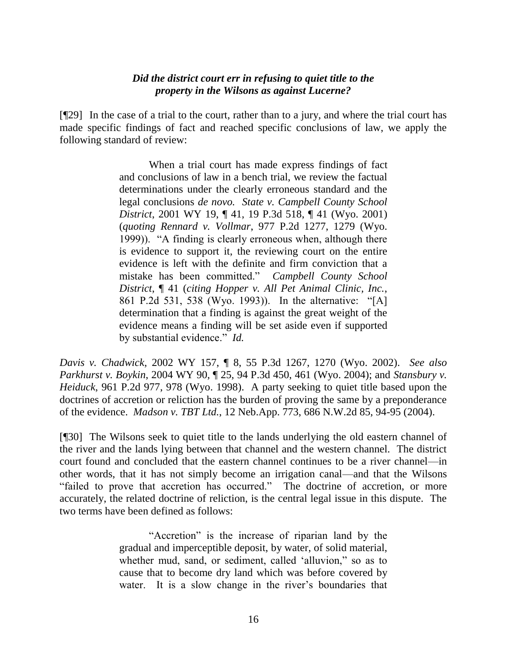### *Did the district court err in refusing to quiet title to the property in the Wilsons as against Lucerne?*

[¶29] In the case of a trial to the court, rather than to a jury, and where the trial court has made specific findings of fact and reached specific conclusions of law, we apply the following standard of review:

> When a trial court has made express findings of fact and conclusions of law in a bench trial, we review the factual determinations under the clearly erroneous standard and the legal conclusions *de novo. State v. Campbell County School District*, 2001 WY 19, ¶ 41, 19 P.3d 518, ¶ 41 (Wyo. 2001) (*quoting Rennard v. Vollmar*, 977 P.2d 1277, 1279 (Wyo. 1999)). "A finding is clearly erroneous when, although there is evidence to support it, the reviewing court on the entire evidence is left with the definite and firm conviction that a mistake has been committed.‖ *Campbell County School District*, ¶ 41 (*citing Hopper v. All Pet Animal Clinic, Inc.*, 861 P.2d 531, 538 (Wyo. 1993)). In the alternative: "[A] determination that a finding is against the great weight of the evidence means a finding will be set aside even if supported by substantial evidence." *Id.*

*Davis v. Chadwick*, 2002 WY 157, ¶ 8, 55 P.3d 1267, 1270 (Wyo. 2002). *See also Parkhurst v. Boykin*, 2004 WY 90, ¶ 25, 94 P.3d 450, 461 (Wyo. 2004); and *Stansbury v. Heiduck*, 961 P.2d 977, 978 (Wyo. 1998). A party seeking to quiet title based upon the doctrines of accretion or reliction has the burden of proving the same by a preponderance of the evidence. *Madson v. TBT Ltd.*, 12 Neb.App. 773, 686 N.W.2d 85, 94-95 (2004).

[¶30] The Wilsons seek to quiet title to the lands underlying the old eastern channel of the river and the lands lying between that channel and the western channel. The district court found and concluded that the eastern channel continues to be a river channel—in other words, that it has not simply become an irrigation canal—and that the Wilsons "failed to prove that accretion has occurred." The doctrine of accretion, or more accurately, the related doctrine of reliction, is the central legal issue in this dispute. The two terms have been defined as follows:

> "Accretion" is the increase of riparian land by the gradual and imperceptible deposit, by water, of solid material, whether mud, sand, or sediment, called 'alluvion," so as to cause that to become dry land which was before covered by water. It is a slow change in the river's boundaries that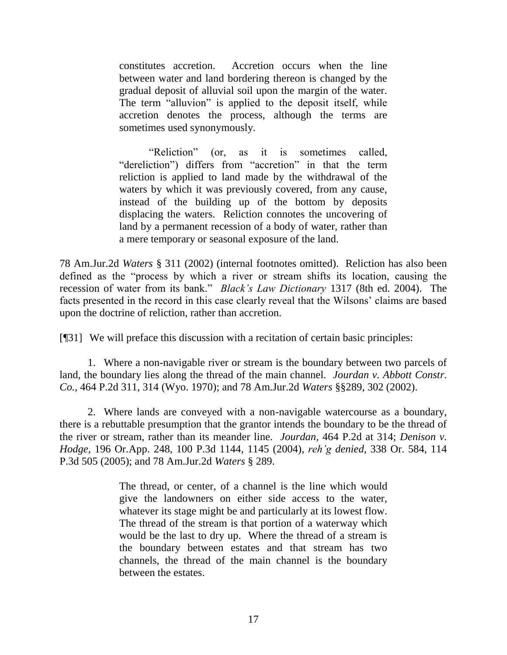constitutes accretion. Accretion occurs when the line between water and land bordering thereon is changed by the gradual deposit of alluvial soil upon the margin of the water. The term "alluvion" is applied to the deposit itself, while accretion denotes the process, although the terms are sometimes used synonymously.

"Reliction" (or, as it is sometimes called, "dereliction") differs from "accretion" in that the term reliction is applied to land made by the withdrawal of the waters by which it was previously covered, from any cause, instead of the building up of the bottom by deposits displacing the waters. Reliction connotes the uncovering of land by a permanent recession of a body of water, rather than a mere temporary or seasonal exposure of the land.

78 Am.Jur.2d *Waters* § 311 (2002) (internal footnotes omitted). Reliction has also been defined as the "process by which a river or stream shifts its location, causing the recession of water from its bank.‖ *Black's Law Dictionary* 1317 (8th ed. 2004). The facts presented in the record in this case clearly reveal that the Wilsons' claims are based upon the doctrine of reliction, rather than accretion.

[¶31] We will preface this discussion with a recitation of certain basic principles:

1. Where a non-navigable river or stream is the boundary between two parcels of land, the boundary lies along the thread of the main channel. *Jourdan v. Abbott Constr. Co.*, 464 P.2d 311, 314 (Wyo. 1970); and 78 Am.Jur.2d *Waters* §§289, 302 (2002).

2. Where lands are conveyed with a non-navigable watercourse as a boundary, there is a rebuttable presumption that the grantor intends the boundary to be the thread of the river or stream, rather than its meander line. *Jourdan*, 464 P.2d at 314; *Denison v. Hodge*, 196 Or.App. 248, 100 P.3d 1144, 1145 (2004), *reh'g denied,* 338 Or. 584, 114 P.3d 505 (2005); and 78 Am.Jur.2d *Waters* § 289.

> The thread, or center, of a channel is the line which would give the landowners on either side access to the water, whatever its stage might be and particularly at its lowest flow. The thread of the stream is that portion of a waterway which would be the last to dry up. Where the thread of a stream is the boundary between estates and that stream has two channels, the thread of the main channel is the boundary between the estates.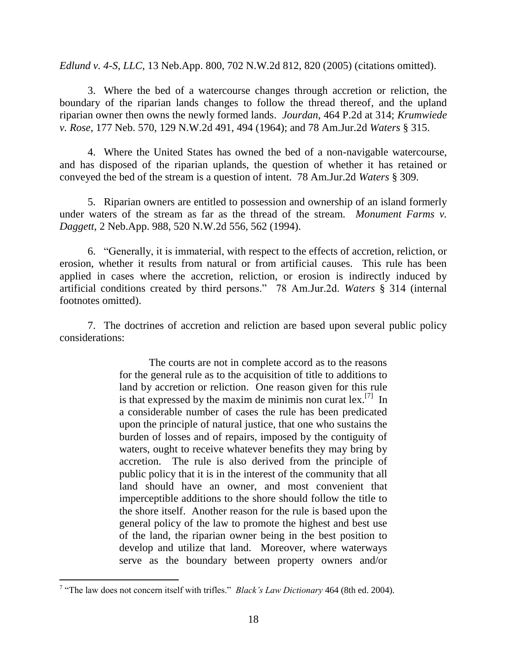*Edlund v. 4-S, LLC*, 13 Neb.App. 800, 702 N.W.2d 812, 820 (2005) (citations omitted).

3. Where the bed of a watercourse changes through accretion or reliction, the boundary of the riparian lands changes to follow the thread thereof, and the upland riparian owner then owns the newly formed lands. *Jourdan*, 464 P.2d at 314; *Krumwiede v. Rose*, 177 Neb. 570, 129 N.W.2d 491, 494 (1964); and 78 Am.Jur.2d *Waters* § 315.

4. Where the United States has owned the bed of a non-navigable watercourse, and has disposed of the riparian uplands, the question of whether it has retained or conveyed the bed of the stream is a question of intent. 78 Am.Jur.2d *Waters* § 309.

5. Riparian owners are entitled to possession and ownership of an island formerly under waters of the stream as far as the thread of the stream. *Monument Farms v. Daggett*, 2 Neb.App. 988, 520 N.W.2d 556, 562 (1994).

6. ―Generally, it is immaterial, with respect to the effects of accretion, reliction, or erosion, whether it results from natural or from artificial causes. This rule has been applied in cases where the accretion, reliction, or erosion is indirectly induced by artificial conditions created by third persons.‖ 78 Am.Jur.2d. *Waters* § 314 (internal footnotes omitted).

7. The doctrines of accretion and reliction are based upon several public policy considerations:

> The courts are not in complete accord as to the reasons for the general rule as to the acquisition of title to additions to land by accretion or reliction. One reason given for this rule is that expressed by the maxim de minimis non curat  $lex.^{[7]}$  In a considerable number of cases the rule has been predicated upon the principle of natural justice, that one who sustains the burden of losses and of repairs, imposed by the contiguity of waters, ought to receive whatever benefits they may bring by accretion. The rule is also derived from the principle of public policy that it is in the interest of the community that all land should have an owner, and most convenient that imperceptible additions to the shore should follow the title to the shore itself. Another reason for the rule is based upon the general policy of the law to promote the highest and best use of the land, the riparian owner being in the best position to develop and utilize that land. Moreover, where waterways serve as the boundary between property owners and/or

 $\overline{a}$ 

<sup>&</sup>lt;sup>7</sup> "The law does not concern itself with trifles." *Black's Law Dictionary* 464 (8th ed. 2004).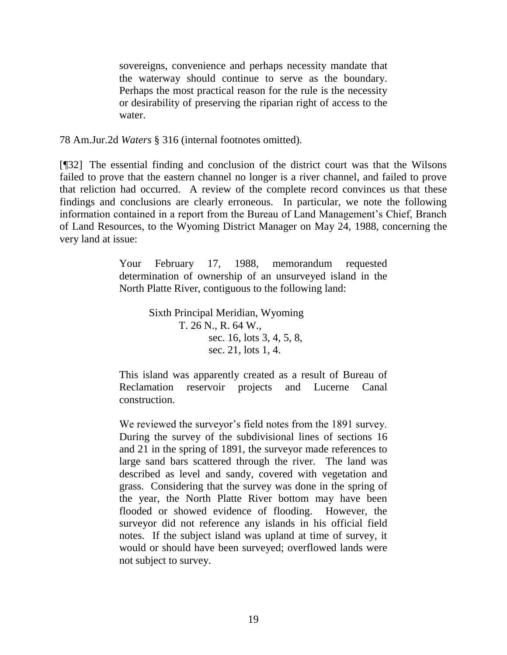sovereigns, convenience and perhaps necessity mandate that the waterway should continue to serve as the boundary. Perhaps the most practical reason for the rule is the necessity or desirability of preserving the riparian right of access to the water.

78 Am.Jur.2d *Waters* § 316 (internal footnotes omitted).

[¶32] The essential finding and conclusion of the district court was that the Wilsons failed to prove that the eastern channel no longer is a river channel, and failed to prove that reliction had occurred. A review of the complete record convinces us that these findings and conclusions are clearly erroneous. In particular, we note the following information contained in a report from the Bureau of Land Management's Chief, Branch of Land Resources, to the Wyoming District Manager on May 24, 1988, concerning the very land at issue:

> Your February 17, 1988, memorandum requested determination of ownership of an unsurveyed island in the North Platte River, contiguous to the following land:

> > Sixth Principal Meridian, Wyoming T. 26 N., R. 64 W., sec. 16, lots 3, 4, 5, 8, sec. 21, lots 1, 4.

This island was apparently created as a result of Bureau of Reclamation reservoir projects and Lucerne Canal construction.

We reviewed the surveyor's field notes from the 1891 survey. During the survey of the subdivisional lines of sections 16 and 21 in the spring of 1891, the surveyor made references to large sand bars scattered through the river. The land was described as level and sandy, covered with vegetation and grass. Considering that the survey was done in the spring of the year, the North Platte River bottom may have been flooded or showed evidence of flooding. However, the surveyor did not reference any islands in his official field notes. If the subject island was upland at time of survey, it would or should have been surveyed; overflowed lands were not subject to survey.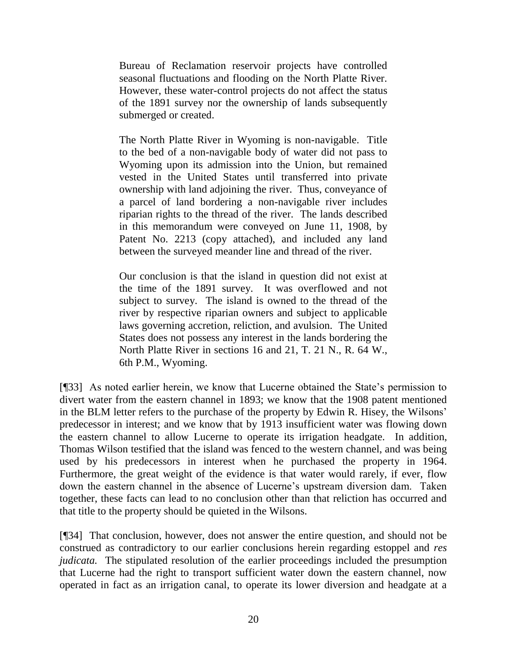Bureau of Reclamation reservoir projects have controlled seasonal fluctuations and flooding on the North Platte River. However, these water-control projects do not affect the status of the 1891 survey nor the ownership of lands subsequently submerged or created.

The North Platte River in Wyoming is non-navigable. Title to the bed of a non-navigable body of water did not pass to Wyoming upon its admission into the Union, but remained vested in the United States until transferred into private ownership with land adjoining the river. Thus, conveyance of a parcel of land bordering a non-navigable river includes riparian rights to the thread of the river. The lands described in this memorandum were conveyed on June 11, 1908, by Patent No. 2213 (copy attached), and included any land between the surveyed meander line and thread of the river.

Our conclusion is that the island in question did not exist at the time of the 1891 survey. It was overflowed and not subject to survey. The island is owned to the thread of the river by respective riparian owners and subject to applicable laws governing accretion, reliction, and avulsion. The United States does not possess any interest in the lands bordering the North Platte River in sections 16 and 21, T. 21 N., R. 64 W., 6th P.M., Wyoming.

[¶33] As noted earlier herein, we know that Lucerne obtained the State's permission to divert water from the eastern channel in 1893; we know that the 1908 patent mentioned in the BLM letter refers to the purchase of the property by Edwin R. Hisey, the Wilsons' predecessor in interest; and we know that by 1913 insufficient water was flowing down the eastern channel to allow Lucerne to operate its irrigation headgate. In addition, Thomas Wilson testified that the island was fenced to the western channel, and was being used by his predecessors in interest when he purchased the property in 1964. Furthermore, the great weight of the evidence is that water would rarely, if ever, flow down the eastern channel in the absence of Lucerne's upstream diversion dam. Taken together, these facts can lead to no conclusion other than that reliction has occurred and that title to the property should be quieted in the Wilsons.

[¶34] That conclusion, however, does not answer the entire question, and should not be construed as contradictory to our earlier conclusions herein regarding estoppel and *res judicata.* The stipulated resolution of the earlier proceedings included the presumption that Lucerne had the right to transport sufficient water down the eastern channel, now operated in fact as an irrigation canal, to operate its lower diversion and headgate at a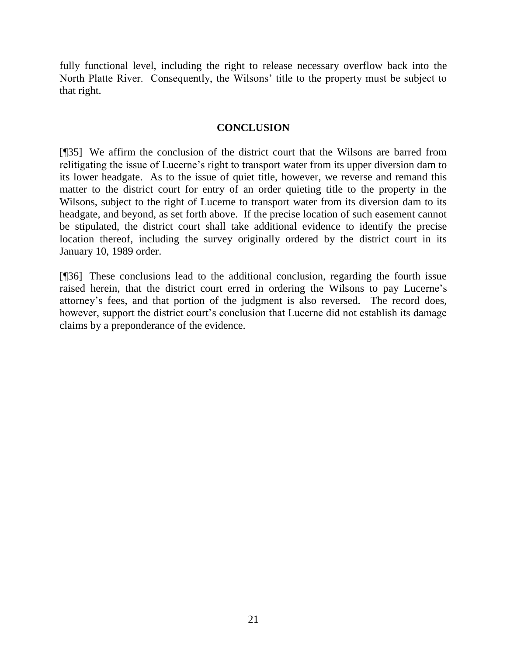fully functional level, including the right to release necessary overflow back into the North Platte River. Consequently, the Wilsons' title to the property must be subject to that right.

### **CONCLUSION**

[¶35] We affirm the conclusion of the district court that the Wilsons are barred from relitigating the issue of Lucerne's right to transport water from its upper diversion dam to its lower headgate. As to the issue of quiet title, however, we reverse and remand this matter to the district court for entry of an order quieting title to the property in the Wilsons, subject to the right of Lucerne to transport water from its diversion dam to its headgate, and beyond, as set forth above. If the precise location of such easement cannot be stipulated, the district court shall take additional evidence to identify the precise location thereof, including the survey originally ordered by the district court in its January 10, 1989 order.

[¶36] These conclusions lead to the additional conclusion, regarding the fourth issue raised herein, that the district court erred in ordering the Wilsons to pay Lucerne's attorney's fees, and that portion of the judgment is also reversed. The record does, however, support the district court's conclusion that Lucerne did not establish its damage claims by a preponderance of the evidence.